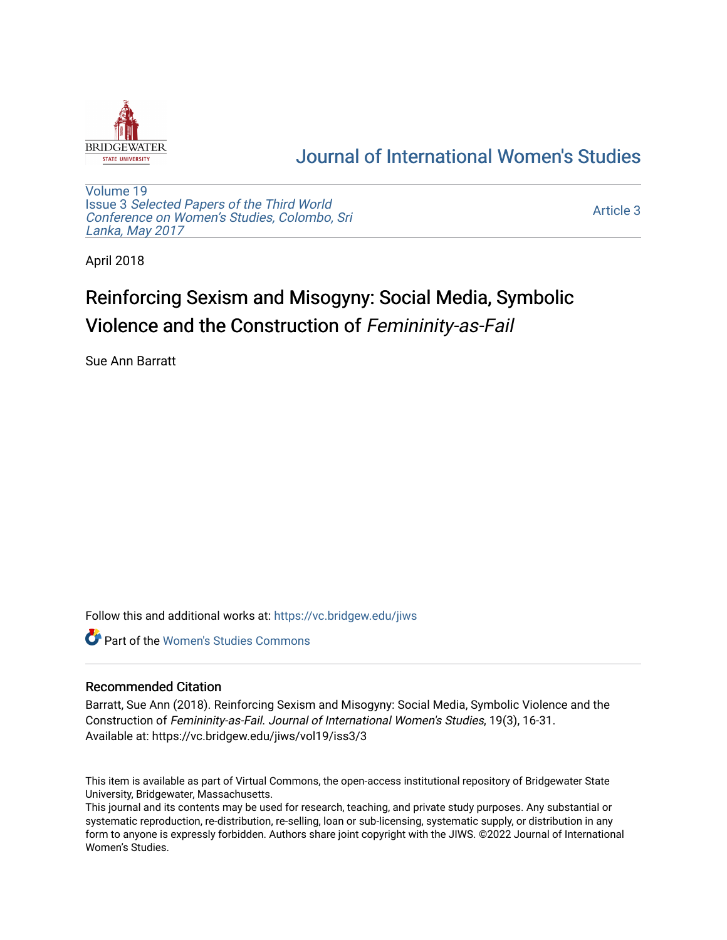

## [Journal of International Women's Studies](https://vc.bridgew.edu/jiws)

[Volume 19](https://vc.bridgew.edu/jiws/vol19) Issue 3 [Selected Papers of the Third World](https://vc.bridgew.edu/jiws/vol19/iss3) [Conference on Women's Studies, Colombo, Sri](https://vc.bridgew.edu/jiws/vol19/iss3)  [Lanka, May 2017](https://vc.bridgew.edu/jiws/vol19/iss3) 

[Article 3](https://vc.bridgew.edu/jiws/vol19/iss3/3) 

April 2018

# Reinforcing Sexism and Misogyny: Social Media, Symbolic Violence and the Construction of Femininity-as-Fail

Sue Ann Barratt

Follow this and additional works at: [https://vc.bridgew.edu/jiws](https://vc.bridgew.edu/jiws?utm_source=vc.bridgew.edu%2Fjiws%2Fvol19%2Fiss3%2F3&utm_medium=PDF&utm_campaign=PDFCoverPages)

**C** Part of the Women's Studies Commons

#### Recommended Citation

Barratt, Sue Ann (2018). Reinforcing Sexism and Misogyny: Social Media, Symbolic Violence and the Construction of Femininity-as-Fail. Journal of International Women's Studies, 19(3), 16-31. Available at: https://vc.bridgew.edu/jiws/vol19/iss3/3

This item is available as part of Virtual Commons, the open-access institutional repository of Bridgewater State University, Bridgewater, Massachusetts.

This journal and its contents may be used for research, teaching, and private study purposes. Any substantial or systematic reproduction, re-distribution, re-selling, loan or sub-licensing, systematic supply, or distribution in any form to anyone is expressly forbidden. Authors share joint copyright with the JIWS. ©2022 Journal of International Women's Studies.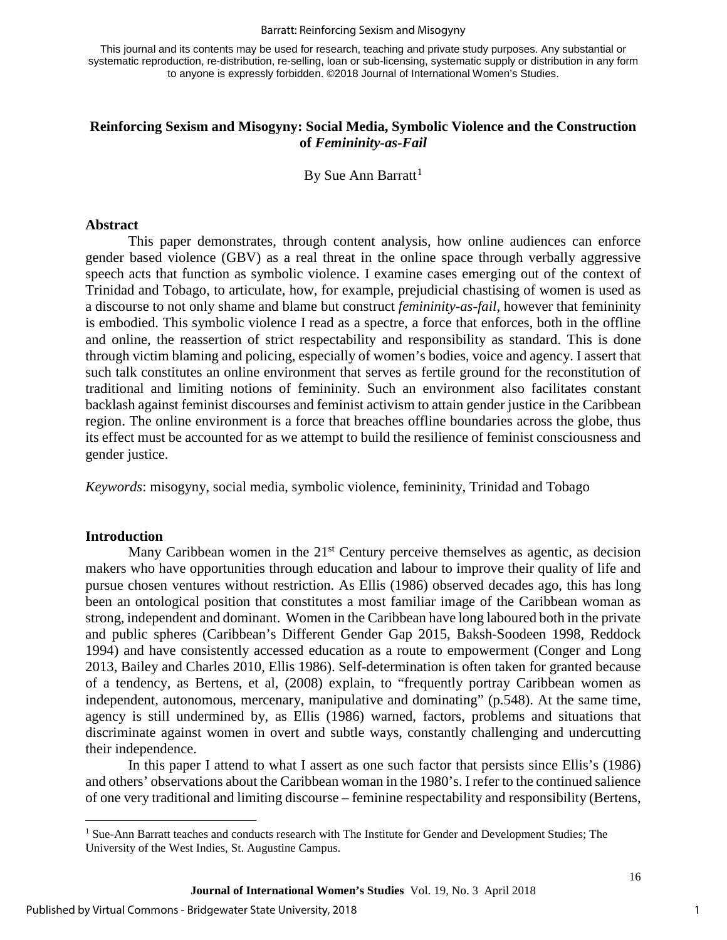#### Barratt: Reinforcing Sexism and Misogyny

This journal and its contents may be used for research, teaching and private study purposes. Any substantial or systematic reproduction, re-distribution, re-selling, loan or sub-licensing, systematic supply or distribution in any form to anyone is expressly forbidden. ©2018 Journal of International Women's Studies.

#### **Reinforcing Sexism and Misogyny: Social Media, Symbolic Violence and the Construction of** *Femininity-as-Fail*

By Sue Ann Barratt<sup>[1](#page-1-0)</sup>

#### **Abstract**

This paper demonstrates, through content analysis, how online audiences can enforce gender based violence (GBV) as a real threat in the online space through verbally aggressive speech acts that function as symbolic violence. I examine cases emerging out of the context of Trinidad and Tobago, to articulate, how, for example, prejudicial chastising of women is used as a discourse to not only shame and blame but construct *femininity-as-fail*, however that femininity is embodied. This symbolic violence I read as a spectre, a force that enforces, both in the offline and online, the reassertion of strict respectability and responsibility as standard. This is done through victim blaming and policing, especially of women's bodies, voice and agency. I assert that such talk constitutes an online environment that serves as fertile ground for the reconstitution of traditional and limiting notions of femininity. Such an environment also facilitates constant backlash against feminist discourses and feminist activism to attain gender justice in the Caribbean region. The online environment is a force that breaches offline boundaries across the globe, thus its effect must be accounted for as we attempt to build the resilience of feminist consciousness and gender justice.

*Keywords*: misogyny, social media, symbolic violence, femininity, Trinidad and Tobago

#### **Introduction**

l

Many Caribbean women in the  $21<sup>st</sup>$  Century perceive themselves as agentic, as decision makers who have opportunities through education and labour to improve their quality of life and pursue chosen ventures without restriction. As Ellis (1986) observed decades ago, this has long been an ontological position that constitutes a most familiar image of the Caribbean woman as strong, independent and dominant. Women in the Caribbean have long laboured both in the private and public spheres (Caribbean's Different Gender Gap 2015, Baksh-Soodeen 1998, Reddock 1994) and have consistently accessed education as a route to empowerment (Conger and Long 2013, Bailey and Charles 2010, Ellis 1986). Self-determination is often taken for granted because of a tendency, as Bertens, et al, (2008) explain, to "frequently portray Caribbean women as independent, autonomous, mercenary, manipulative and dominating" (p.548). At the same time, agency is still undermined by, as Ellis (1986) warned, factors, problems and situations that discriminate against women in overt and subtle ways, constantly challenging and undercutting their independence.

In this paper I attend to what I assert as one such factor that persists since Ellis's (1986) and others' observations about the Caribbean woman in the 1980's. I refer to the continued salience of one very traditional and limiting discourse – feminine respectability and responsibility (Bertens,

<span id="page-1-0"></span><sup>&</sup>lt;sup>1</sup> Sue-Ann Barratt teaches and conducts research with The Institute for Gender and Development Studies; The University of the West Indies, St. Augustine Campus.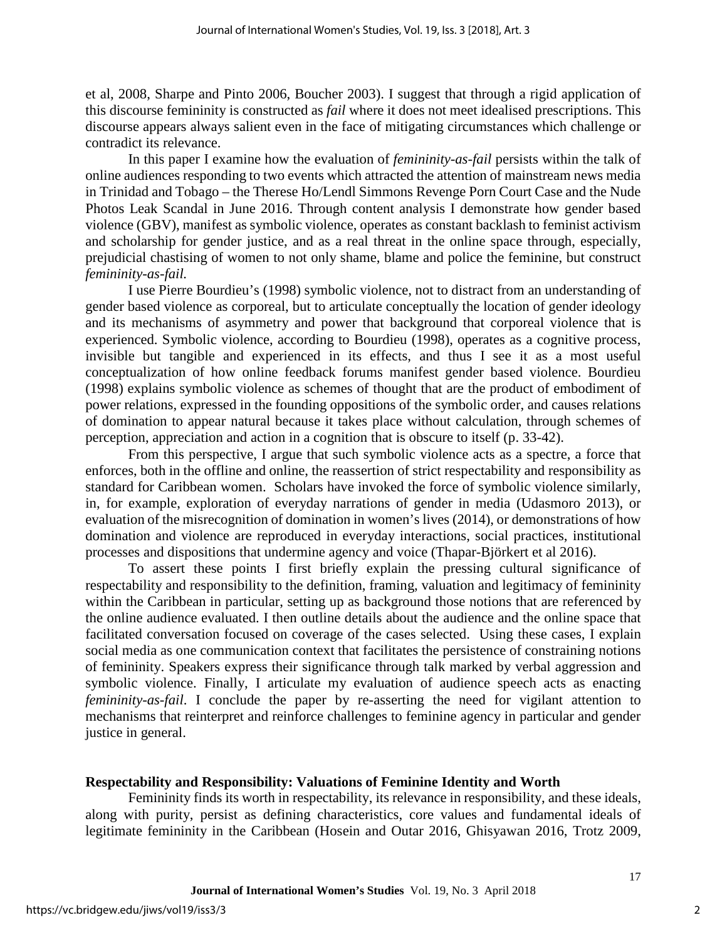et al, 2008, Sharpe and Pinto 2006, Boucher 2003). I suggest that through a rigid application of this discourse femininity is constructed as *fail* where it does not meet idealised prescriptions. This discourse appears always salient even in the face of mitigating circumstances which challenge or contradict its relevance.

In this paper I examine how the evaluation of *femininity-as-fail* persists within the talk of online audiences responding to two events which attracted the attention of mainstream news media in Trinidad and Tobago – the Therese Ho/Lendl Simmons Revenge Porn Court Case and the Nude Photos Leak Scandal in June 2016. Through content analysis I demonstrate how gender based violence (GBV), manifest as symbolic violence, operates as constant backlash to feminist activism and scholarship for gender justice, and as a real threat in the online space through, especially, prejudicial chastising of women to not only shame, blame and police the feminine, but construct *femininity-as-fail.* 

I use Pierre Bourdieu's (1998) symbolic violence, not to distract from an understanding of gender based violence as corporeal, but to articulate conceptually the location of gender ideology and its mechanisms of asymmetry and power that background that corporeal violence that is experienced. Symbolic violence, according to Bourdieu (1998), operates as a cognitive process, invisible but tangible and experienced in its effects, and thus I see it as a most useful conceptualization of how online feedback forums manifest gender based violence. Bourdieu (1998) explains symbolic violence as schemes of thought that are the product of embodiment of power relations, expressed in the founding oppositions of the symbolic order, and causes relations of domination to appear natural because it takes place without calculation, through schemes of perception, appreciation and action in a cognition that is obscure to itself (p. 33-42).

From this perspective, I argue that such symbolic violence acts as a spectre, a force that enforces, both in the offline and online, the reassertion of strict respectability and responsibility as standard for Caribbean women. Scholars have invoked the force of symbolic violence similarly, in, for example, exploration of everyday narrations of gender in media (Udasmoro 2013), or evaluation of the misrecognition of domination in women's lives (2014), or demonstrations of how domination and violence are reproduced in everyday interactions, social practices, institutional processes and dispositions that undermine agency and voice (Thapar-Björkert et al 2016).

To assert these points I first briefly explain the pressing cultural significance of respectability and responsibility to the definition, framing, valuation and legitimacy of femininity within the Caribbean in particular, setting up as background those notions that are referenced by the online audience evaluated. I then outline details about the audience and the online space that facilitated conversation focused on coverage of the cases selected. Using these cases, I explain social media as one communication context that facilitates the persistence of constraining notions of femininity. Speakers express their significance through talk marked by verbal aggression and symbolic violence. Finally, I articulate my evaluation of audience speech acts as enacting *femininity-as-fail*. I conclude the paper by re-asserting the need for vigilant attention to mechanisms that reinterpret and reinforce challenges to feminine agency in particular and gender justice in general.

#### **Respectability and Responsibility: Valuations of Feminine Identity and Worth**

Femininity finds its worth in respectability, its relevance in responsibility, and these ideals, along with purity, persist as defining characteristics, core values and fundamental ideals of legitimate femininity in the Caribbean (Hosein and Outar 2016, Ghisyawan 2016, Trotz 2009,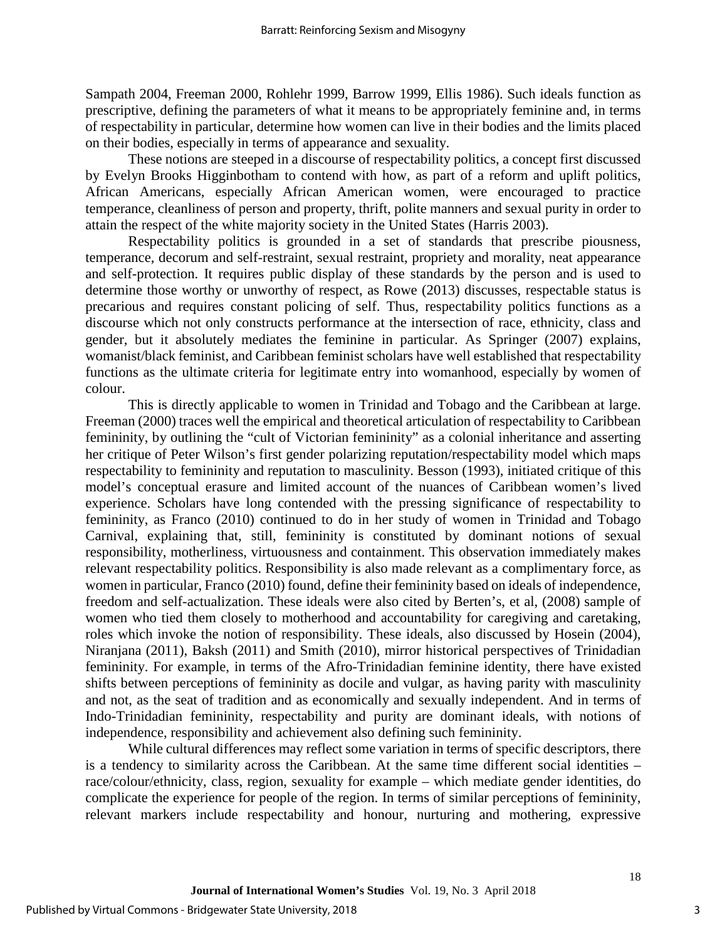Sampath 2004, Freeman 2000, Rohlehr 1999, Barrow 1999, Ellis 1986). Such ideals function as prescriptive, defining the parameters of what it means to be appropriately feminine and, in terms of respectability in particular, determine how women can live in their bodies and the limits placed on their bodies, especially in terms of appearance and sexuality.

These notions are steeped in a discourse of respectability politics, a concept first discussed by Evelyn Brooks Higginbotham to contend with how, as part of a reform and uplift politics, African Americans, especially African American women, were encouraged to practice temperance, cleanliness of person and property, thrift, polite manners and sexual purity in order to attain the respect of the white majority society in the United States (Harris 2003).

Respectability politics is grounded in a set of standards that prescribe piousness, temperance, decorum and self-restraint, sexual restraint, propriety and morality, neat appearance and self-protection. It requires public display of these standards by the person and is used to determine those worthy or unworthy of respect, as Rowe (2013) discusses, respectable status is precarious and requires constant policing of self. Thus, respectability politics functions as a discourse which not only constructs performance at the intersection of race, ethnicity, class and gender, but it absolutely mediates the feminine in particular. As Springer (2007) explains, womanist/black feminist, and Caribbean feminist scholars have well established that respectability functions as the ultimate criteria for legitimate entry into womanhood, especially by women of colour.

This is directly applicable to women in Trinidad and Tobago and the Caribbean at large. Freeman (2000) traces well the empirical and theoretical articulation of respectability to Caribbean femininity, by outlining the "cult of Victorian femininity" as a colonial inheritance and asserting her critique of Peter Wilson's first gender polarizing reputation/respectability model which maps respectability to femininity and reputation to masculinity. Besson (1993), initiated critique of this model's conceptual erasure and limited account of the nuances of Caribbean women's lived experience. Scholars have long contended with the pressing significance of respectability to femininity, as Franco (2010) continued to do in her study of women in Trinidad and Tobago Carnival, explaining that, still, femininity is constituted by dominant notions of sexual responsibility, motherliness, virtuousness and containment. This observation immediately makes relevant respectability politics. Responsibility is also made relevant as a complimentary force, as women in particular, Franco (2010) found, define their femininity based on ideals of independence, freedom and self-actualization. These ideals were also cited by Berten's, et al, (2008) sample of women who tied them closely to motherhood and accountability for caregiving and caretaking, roles which invoke the notion of responsibility. These ideals, also discussed by Hosein (2004), Niranjana (2011), Baksh (2011) and Smith (2010), mirror historical perspectives of Trinidadian femininity. For example, in terms of the Afro-Trinidadian feminine identity, there have existed shifts between perceptions of femininity as docile and vulgar, as having parity with masculinity and not, as the seat of tradition and as economically and sexually independent. And in terms of Indo-Trinidadian femininity, respectability and purity are dominant ideals, with notions of independence, responsibility and achievement also defining such femininity.

While cultural differences may reflect some variation in terms of specific descriptors, there is a tendency to similarity across the Caribbean. At the same time different social identities – race/colour/ethnicity, class, region, sexuality for example – which mediate gender identities, do complicate the experience for people of the region. In terms of similar perceptions of femininity, relevant markers include respectability and honour, nurturing and mothering, expressive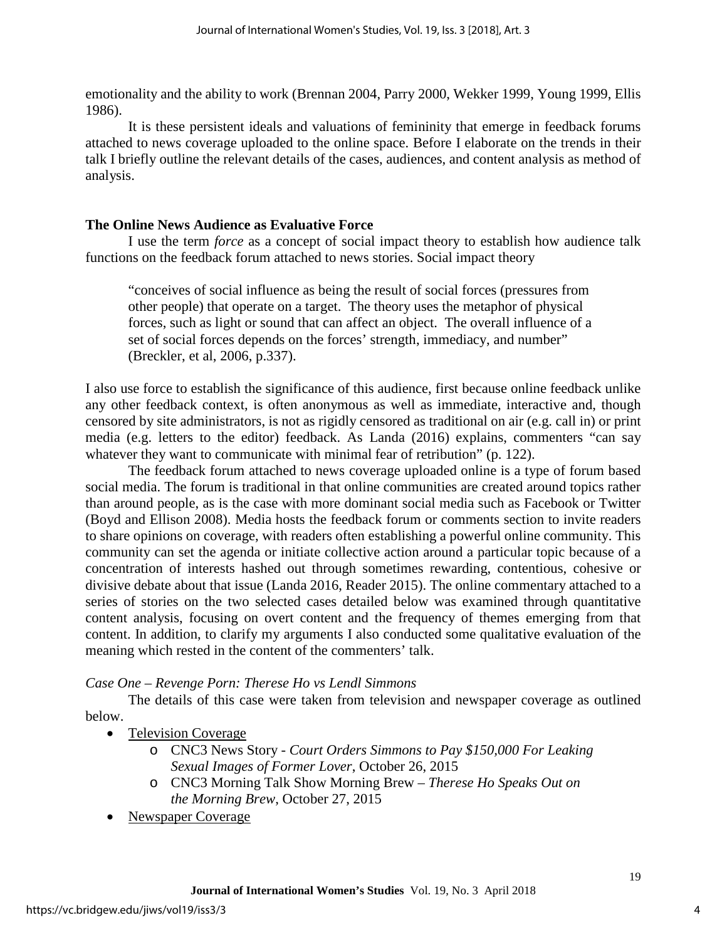emotionality and the ability to work (Brennan 2004, Parry 2000, Wekker 1999, Young 1999, Ellis 1986).

It is these persistent ideals and valuations of femininity that emerge in feedback forums attached to news coverage uploaded to the online space. Before I elaborate on the trends in their talk I briefly outline the relevant details of the cases, audiences, and content analysis as method of analysis.

## **The Online News Audience as Evaluative Force**

I use the term *force* as a concept of social impact theory to establish how audience talk functions on the feedback forum attached to news stories. Social impact theory

"conceives of social influence as being the result of social forces (pressures from other people) that operate on a target. The theory uses the metaphor of physical forces, such as light or sound that can affect an object. The overall influence of a set of social forces depends on the forces' strength, immediacy, and number" (Breckler, et al, 2006, p.337).

I also use force to establish the significance of this audience, first because online feedback unlike any other feedback context, is often anonymous as well as immediate, interactive and, though censored by site administrators, is not as rigidly censored as traditional on air (e.g. call in) or print media (e.g. letters to the editor) feedback. As Landa (2016) explains, commenters "can say whatever they want to communicate with minimal fear of retribution" (p. 122).

The feedback forum attached to news coverage uploaded online is a type of forum based social media. The forum is traditional in that online communities are created around topics rather than around people, as is the case with more dominant social media such as Facebook or Twitter (Boyd and Ellison 2008). Media hosts the feedback forum or comments section to invite readers to share opinions on coverage, with readers often establishing a powerful online community. This community can set the agenda or initiate collective action around a particular topic because of a concentration of interests hashed out through sometimes rewarding, contentious, cohesive or divisive debate about that issue (Landa 2016, Reader 2015). The online commentary attached to a series of stories on the two selected cases detailed below was examined through quantitative content analysis, focusing on overt content and the frequency of themes emerging from that content. In addition, to clarify my arguments I also conducted some qualitative evaluation of the meaning which rested in the content of the commenters' talk.

#### *Case One – Revenge Porn: Therese Ho vs Lendl Simmons*

The details of this case were taken from television and newspaper coverage as outlined below.

- Television Coverage
	- o CNC3 News Story *Court Orders Simmons to Pay \$150,000 For Leaking Sexual Images of Former Lover*, October 26, 2015
	- o CNC3 Morning Talk Show Morning Brew *Therese Ho Speaks Out on the Morning Brew*, October 27, 2015
- Newspaper Coverage

4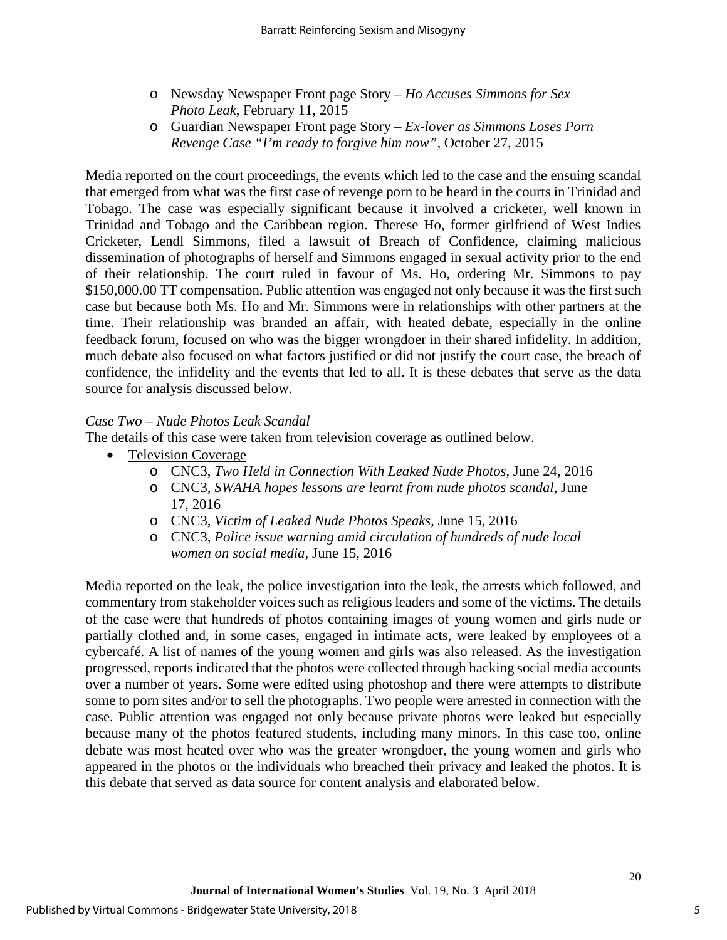- o Newsday Newspaper Front page Story *Ho Accuses Simmons for Sex Photo Leak*, February 11, 2015
- o Guardian Newspaper Front page Story *Ex-lover as Simmons Loses Porn Revenge Case "I'm ready to forgive him now",* October 27, 2015

Media reported on the court proceedings, the events which led to the case and the ensuing scandal that emerged from what was the first case of revenge porn to be heard in the courts in Trinidad and Tobago. The case was especially significant because it involved a cricketer, well known in Trinidad and Tobago and the Caribbean region. Therese Ho, former girlfriend of West Indies Cricketer, Lendl Simmons, filed a lawsuit of Breach of Confidence, claiming malicious dissemination of photographs of herself and Simmons engaged in sexual activity prior to the end of their relationship. The court ruled in favour of Ms. Ho, ordering Mr. Simmons to pay \$150,000.00 TT compensation. Public attention was engaged not only because it was the first such case but because both Ms. Ho and Mr. Simmons were in relationships with other partners at the time. Their relationship was branded an affair, with heated debate, especially in the online feedback forum, focused on who was the bigger wrongdoer in their shared infidelity. In addition, much debate also focused on what factors justified or did not justify the court case, the breach of confidence, the infidelity and the events that led to all. It is these debates that serve as the data source for analysis discussed below.

## *Case Two – Nude Photos Leak Scandal*

The details of this case were taken from television coverage as outlined below.

- Television Coverage
	- o CNC3, *Two Held in Connection With Leaked Nude Photos*, June 24, 2016
	- o CNC3, *SWAHA hopes lessons are learnt from nude photos scandal*, June 17, 2016
	- o CNC3, *Victim of Leaked Nude Photos Speaks*, June 15, 2016
	- o CNC3, *Police issue warning amid circulation of hundreds of nude local women on social media,* June 15, 2016

Media reported on the leak, the police investigation into the leak, the arrests which followed, and commentary from stakeholder voices such as religious leaders and some of the victims. The details of the case were that hundreds of photos containing images of young women and girls nude or partially clothed and, in some cases, engaged in intimate acts, were leaked by employees of a cybercafé. A list of names of the young women and girls was also released. As the investigation progressed, reports indicated that the photos were collected through hacking social media accounts over a number of years. Some were edited using photoshop and there were attempts to distribute some to porn sites and/or to sell the photographs. Two people were arrested in connection with the case. Public attention was engaged not only because private photos were leaked but especially because many of the photos featured students, including many minors. In this case too, online debate was most heated over who was the greater wrongdoer, the young women and girls who appeared in the photos or the individuals who breached their privacy and leaked the photos. It is this debate that served as data source for content analysis and elaborated below.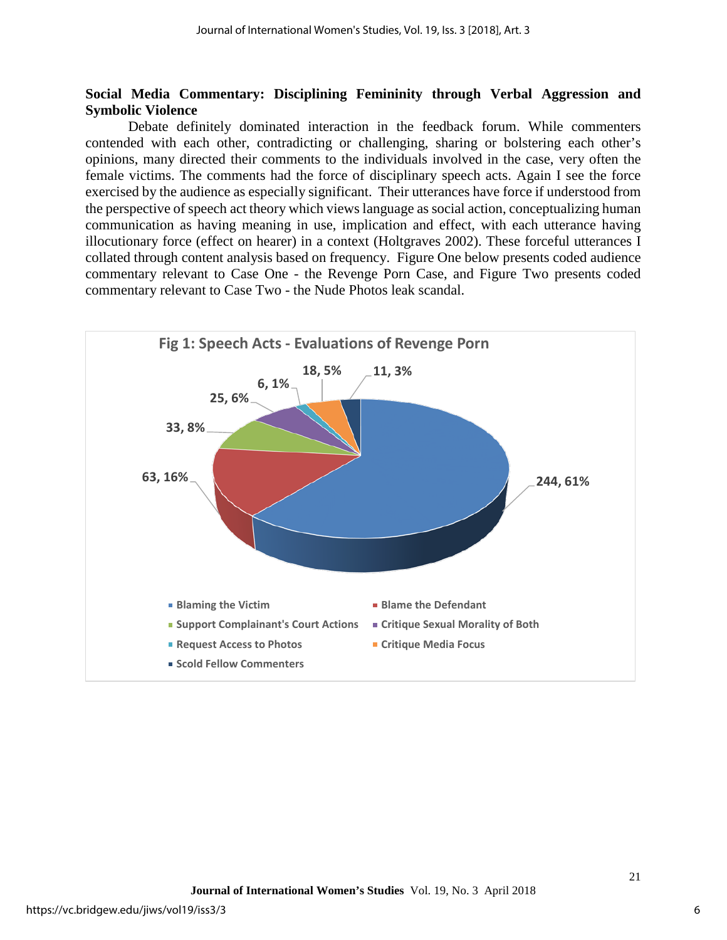#### **Social Media Commentary: Disciplining Femininity through Verbal Aggression and Symbolic Violence**

Debate definitely dominated interaction in the feedback forum. While commenters contended with each other, contradicting or challenging, sharing or bolstering each other's opinions, many directed their comments to the individuals involved in the case, very often the female victims. The comments had the force of disciplinary speech acts. Again I see the force exercised by the audience as especially significant. Their utterances have force if understood from the perspective of speech act theory which views language as social action, conceptualizing human communication as having meaning in use, implication and effect, with each utterance having illocutionary force (effect on hearer) in a context (Holtgraves 2002). These forceful utterances I collated through content analysis based on frequency. Figure One below presents coded audience commentary relevant to Case One - the Revenge Porn Case, and Figure Two presents coded commentary relevant to Case Two - the Nude Photos leak scandal.

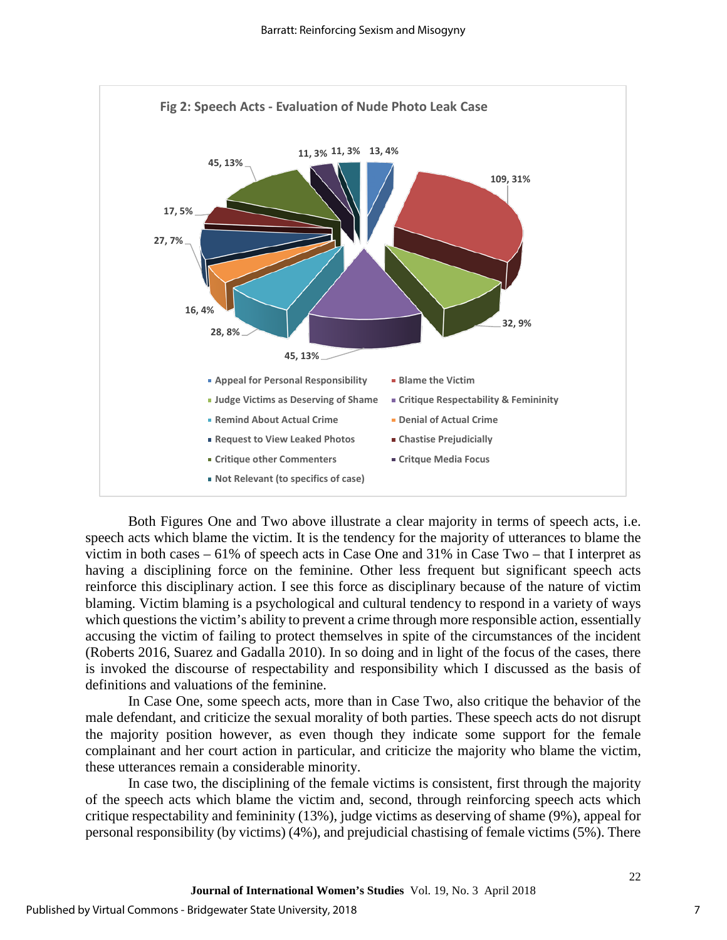

Both Figures One and Two above illustrate a clear majority in terms of speech acts, i.e. speech acts which blame the victim. It is the tendency for the majority of utterances to blame the victim in both cases – 61% of speech acts in Case One and 31% in Case Two – that I interpret as having a disciplining force on the feminine. Other less frequent but significant speech acts reinforce this disciplinary action. I see this force as disciplinary because of the nature of victim blaming. Victim blaming is a psychological and cultural tendency to respond in a variety of ways which questions the victim's ability to prevent a crime through more responsible action, essentially accusing the victim of failing to protect themselves in spite of the circumstances of the incident (Roberts 2016, Suarez and Gadalla 2010). In so doing and in light of the focus of the cases, there is invoked the discourse of respectability and responsibility which I discussed as the basis of definitions and valuations of the feminine.

In Case One, some speech acts, more than in Case Two, also critique the behavior of the male defendant, and criticize the sexual morality of both parties. These speech acts do not disrupt the majority position however, as even though they indicate some support for the female complainant and her court action in particular, and criticize the majority who blame the victim, these utterances remain a considerable minority.

In case two, the disciplining of the female victims is consistent, first through the majority of the speech acts which blame the victim and, second, through reinforcing speech acts which critique respectability and femininity (13%), judge victims as deserving of shame (9%), appeal for personal responsibility (by victims) (4%), and prejudicial chastising of female victims (5%). There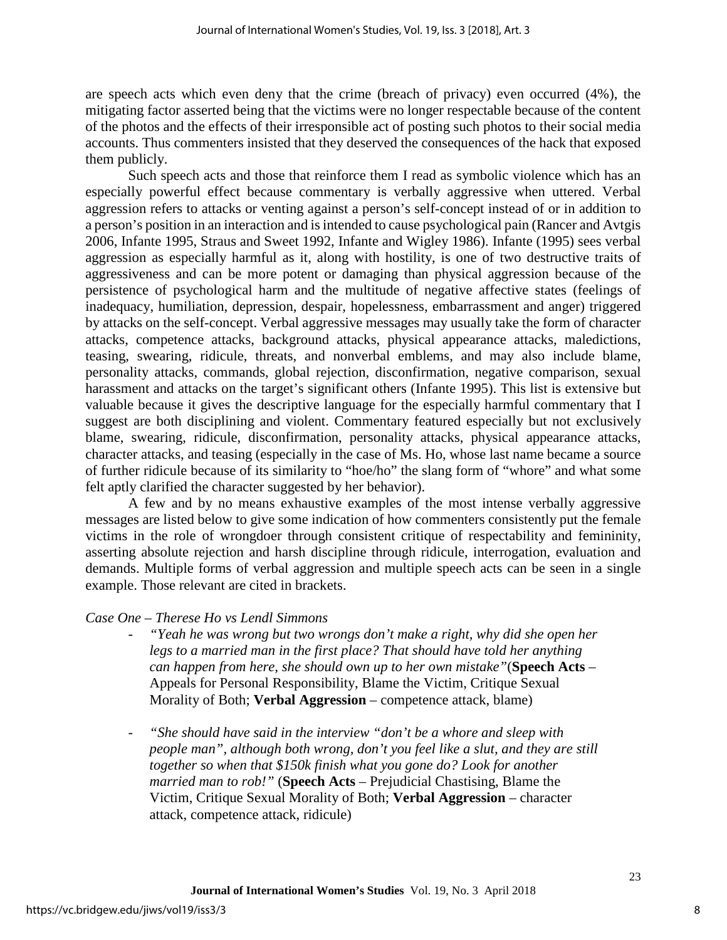are speech acts which even deny that the crime (breach of privacy) even occurred (4%), the mitigating factor asserted being that the victims were no longer respectable because of the content of the photos and the effects of their irresponsible act of posting such photos to their social media accounts. Thus commenters insisted that they deserved the consequences of the hack that exposed them publicly.

Such speech acts and those that reinforce them I read as symbolic violence which has an especially powerful effect because commentary is verbally aggressive when uttered. Verbal aggression refers to attacks or venting against a person's self-concept instead of or in addition to a person's position in an interaction and is intended to cause psychological pain (Rancer and Avtgis 2006, Infante 1995, Straus and Sweet 1992, Infante and Wigley 1986). Infante (1995) sees verbal aggression as especially harmful as it, along with hostility, is one of two destructive traits of aggressiveness and can be more potent or damaging than physical aggression because of the persistence of psychological harm and the multitude of negative affective states (feelings of inadequacy, humiliation, depression, despair, hopelessness, embarrassment and anger) triggered by attacks on the self-concept. Verbal aggressive messages may usually take the form of character attacks, competence attacks, background attacks, physical appearance attacks, maledictions, teasing, swearing, ridicule, threats, and nonverbal emblems, and may also include blame, personality attacks, commands, global rejection, disconfirmation, negative comparison, sexual harassment and attacks on the target's significant others (Infante 1995). This list is extensive but valuable because it gives the descriptive language for the especially harmful commentary that I suggest are both disciplining and violent. Commentary featured especially but not exclusively blame, swearing, ridicule, disconfirmation, personality attacks, physical appearance attacks, character attacks, and teasing (especially in the case of Ms. Ho, whose last name became a source of further ridicule because of its similarity to "hoe/ho" the slang form of "whore" and what some felt aptly clarified the character suggested by her behavior).

A few and by no means exhaustive examples of the most intense verbally aggressive messages are listed below to give some indication of how commenters consistently put the female victims in the role of wrongdoer through consistent critique of respectability and femininity, asserting absolute rejection and harsh discipline through ridicule, interrogation, evaluation and demands. Multiple forms of verbal aggression and multiple speech acts can be seen in a single example. Those relevant are cited in brackets.

#### *Case One – Therese Ho vs Lendl Simmons*

- *"Yeah he was wrong but two wrongs don't make a right, why did she open her*  legs to a married man in the first place? That should have told her anything *can happen from here, she should own up to her own mistake"*(**Speech Acts** – Appeals for Personal Responsibility, Blame the Victim, Critique Sexual Morality of Both; **Verbal Aggression** – competence attack, blame)
- "She should have said in the interview "don't be a whore and sleep with *people man", although both wrong, don't you feel like a slut, and they are still together so when that \$150k finish what you gone do? Look for another married man to rob!"* (**Speech Acts** – Prejudicial Chastising, Blame the Victim, Critique Sexual Morality of Both; **Verbal Aggression** – character attack, competence attack, ridicule)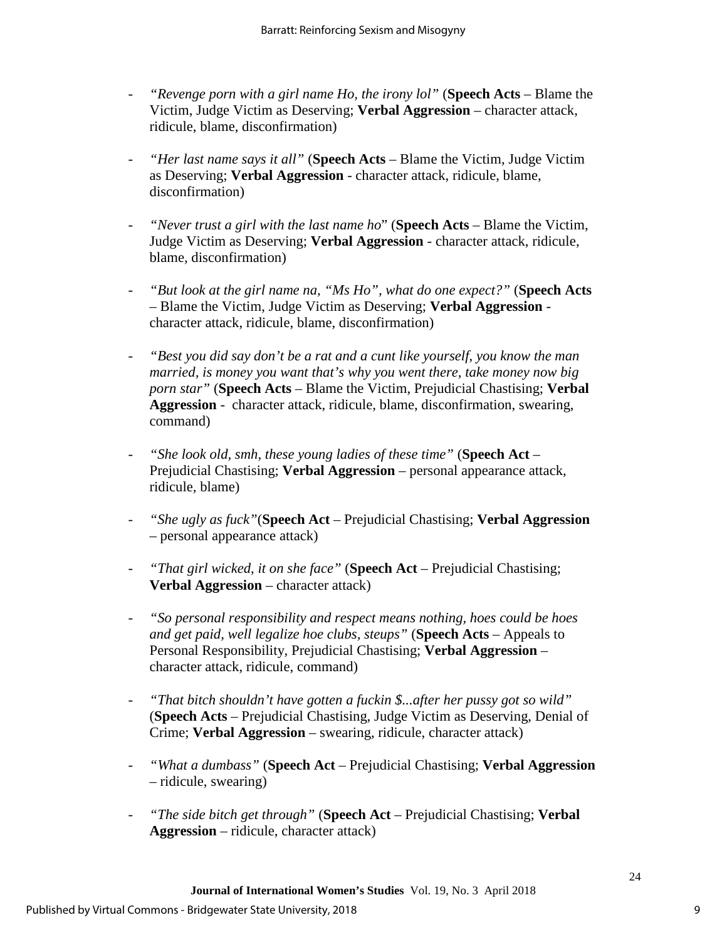- *"Revenge porn with a girl name Ho, the irony lol"* (**Speech Acts** Blame the Victim, Judge Victim as Deserving; **Verbal Aggression** – character attack, ridicule, blame, disconfirmation)
- *"Her last name says it all"* (**Speech Acts** Blame the Victim, Judge Victim as Deserving; **Verbal Aggression** - character attack, ridicule, blame, disconfirmation)
- *"Never trust a girl with the last name ho*" (**Speech Acts** Blame the Victim, Judge Victim as Deserving; **Verbal Aggression** - character attack, ridicule, blame, disconfirmation)
- *"But look at the girl name na, "Ms Ho", what do one expect?"* (**Speech Acts** – Blame the Victim, Judge Victim as Deserving; **Verbal Aggression** character attack, ridicule, blame, disconfirmation)
- *"Best you did say don't be a rat and a cunt like yourself, you know the man married, is money you want that's why you went there, take money now big porn star"* (**Speech Acts** – Blame the Victim, Prejudicial Chastising; **Verbal Aggression** - character attack, ridicule, blame, disconfirmation, swearing, command)
- *"She look old, smh, these young ladies of these time"* (**Speech Act** Prejudicial Chastising; **Verbal Aggression** – personal appearance attack, ridicule, blame)
- *"She ugly as fuck"*(**Speech Act** Prejudicial Chastising; **Verbal Aggression** – personal appearance attack)
- *"That girl wicked, it on she face"* (**Speech Act** Prejudicial Chastising; **Verbal Aggression** – character attack)
- *"So personal responsibility and respect means nothing, hoes could be hoes and get paid, well legalize hoe clubs, steups"* (**Speech Acts** – Appeals to Personal Responsibility, Prejudicial Chastising; **Verbal Aggression** – character attack, ridicule, command)
- *"That bitch shouldn't have gotten a fuckin \$...after her pussy got so wild"* (**Speech Acts** – Prejudicial Chastising, Judge Victim as Deserving, Denial of Crime; **Verbal Aggression** – swearing, ridicule, character attack)
- *"What a dumbass"* (**Speech Act** Prejudicial Chastising; **Verbal Aggression** – ridicule, swearing)
- *"The side bitch get through"* (**Speech Act**  Prejudicial Chastising; **Verbal Aggression** – ridicule, character attack)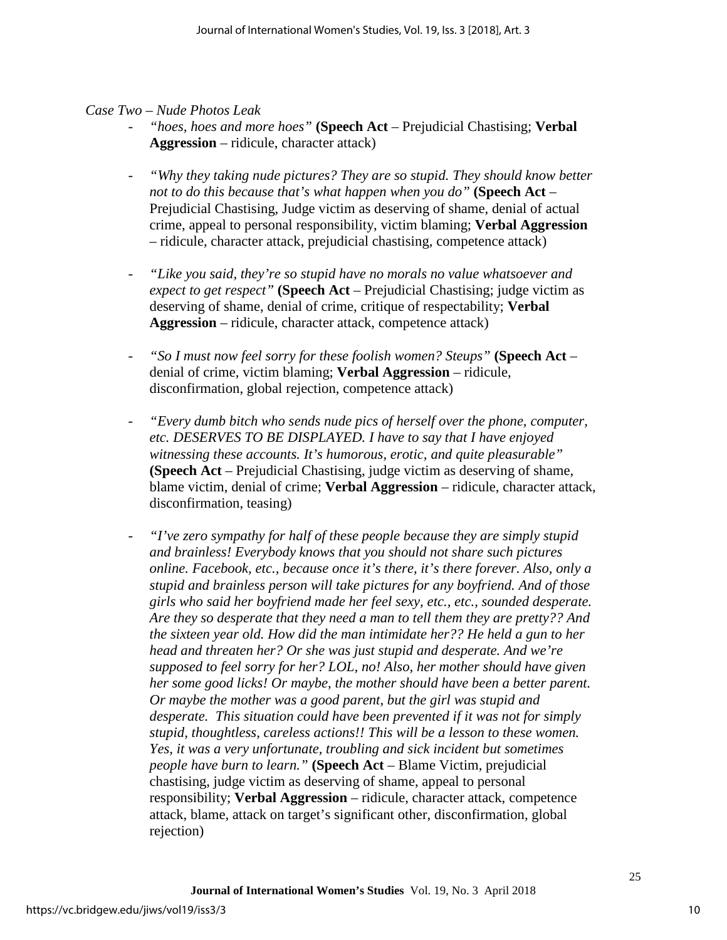#### *Case Two – Nude Photos Leak*

- *"hoes, hoes and more hoes"* **(Speech Act**  Prejudicial Chastising; **Verbal Aggression** – ridicule, character attack)
- *"Why they taking nude pictures? They are so stupid. They should know better not to do this because that's what happen when you do"* **(Speech Act** – Prejudicial Chastising, Judge victim as deserving of shame, denial of actual crime, appeal to personal responsibility, victim blaming; **Verbal Aggression** – ridicule, character attack, prejudicial chastising, competence attack)
- *"Like you said, they're so stupid have no morals no value whatsoever and expect to get respect"* **(Speech Act** – Prejudicial Chastising; judge victim as deserving of shame, denial of crime, critique of respectability; **Verbal Aggression** – ridicule, character attack, competence attack)
- *"So I must now feel sorry for these foolish women? Steups"* **(Speech Act**  denial of crime, victim blaming; **Verbal Aggression** – ridicule, disconfirmation, global rejection, competence attack)
- *"Every dumb bitch who sends nude pics of herself over the phone, computer, etc. DESERVES TO BE DISPLAYED. I have to say that I have enjoyed witnessing these accounts. It's humorous, erotic, and quite pleasurable"*  **(Speech Act** – Prejudicial Chastising, judge victim as deserving of shame, blame victim, denial of crime; **Verbal Aggression** – ridicule, character attack, disconfirmation, teasing)
- *"I've zero sympathy for half of these people because they are simply stupid and brainless! Everybody knows that you should not share such pictures online. Facebook, etc., because once it's there, it's there forever. Also, only a stupid and brainless person will take pictures for any boyfriend. And of those girls who said her boyfriend made her feel sexy, etc., etc., sounded desperate. Are they so desperate that they need a man to tell them they are pretty?? And the sixteen year old. How did the man intimidate her?? He held a gun to her head and threaten her? Or she was just stupid and desperate. And we're supposed to feel sorry for her? LOL, no! Also, her mother should have given her some good licks! Or maybe, the mother should have been a better parent. Or maybe the mother was a good parent, but the girl was stupid and desperate. This situation could have been prevented if it was not for simply stupid, thoughtless, careless actions!! This will be a lesson to these women. Yes, it was a very unfortunate, troubling and sick incident but sometimes people have burn to learn."* **(Speech Act** – Blame Victim, prejudicial chastising, judge victim as deserving of shame, appeal to personal responsibility; **Verbal Aggression** – ridicule, character attack, competence attack, blame, attack on target's significant other, disconfirmation, global rejection)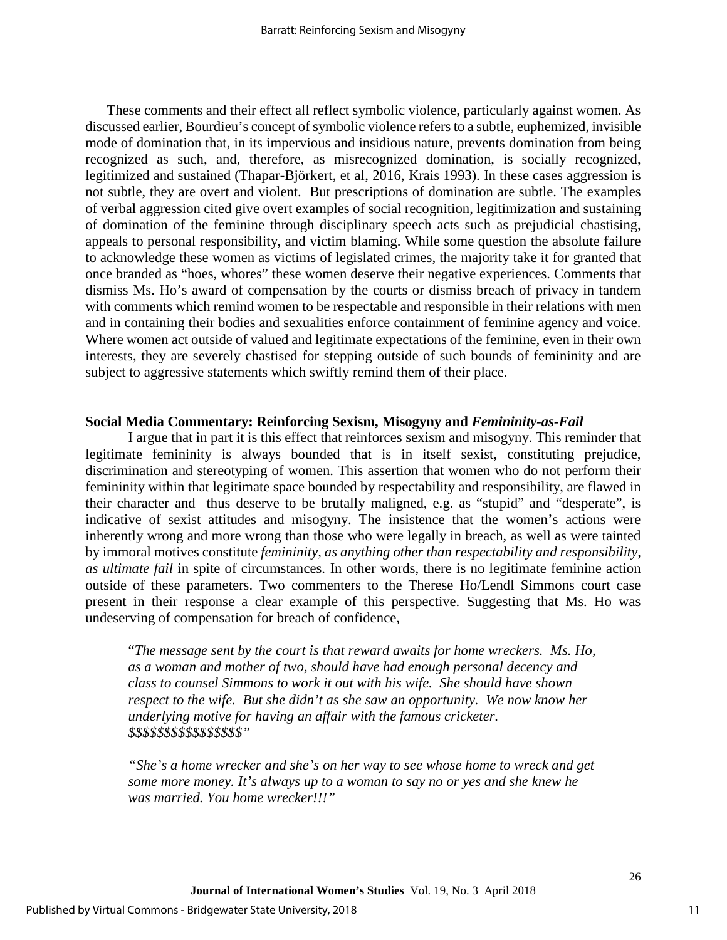These comments and their effect all reflect symbolic violence, particularly against women. As discussed earlier, Bourdieu's concept of symbolic violence refers to a subtle, euphemized, invisible mode of domination that, in its impervious and insidious nature, prevents domination from being recognized as such, and, therefore, as misrecognized domination, is socially recognized, legitimized and sustained (Thapar-Björkert, et al, 2016, Krais 1993). In these cases aggression is not subtle, they are overt and violent. But prescriptions of domination are subtle. The examples of verbal aggression cited give overt examples of social recognition, legitimization and sustaining of domination of the feminine through disciplinary speech acts such as prejudicial chastising, appeals to personal responsibility, and victim blaming. While some question the absolute failure to acknowledge these women as victims of legislated crimes, the majority take it for granted that once branded as "hoes, whores" these women deserve their negative experiences. Comments that dismiss Ms. Ho's award of compensation by the courts or dismiss breach of privacy in tandem with comments which remind women to be respectable and responsible in their relations with men and in containing their bodies and sexualities enforce containment of feminine agency and voice. Where women act outside of valued and legitimate expectations of the feminine, even in their own interests, they are severely chastised for stepping outside of such bounds of femininity and are subject to aggressive statements which swiftly remind them of their place.

#### **Social Media Commentary: Reinforcing Sexism, Misogyny and** *Femininity-as-Fail*

I argue that in part it is this effect that reinforces sexism and misogyny. This reminder that legitimate femininity is always bounded that is in itself sexist, constituting prejudice, discrimination and stereotyping of women. This assertion that women who do not perform their femininity within that legitimate space bounded by respectability and responsibility, are flawed in their character and thus deserve to be brutally maligned, e.g. as "stupid" and "desperate", is indicative of sexist attitudes and misogyny. The insistence that the women's actions were inherently wrong and more wrong than those who were legally in breach, as well as were tainted by immoral motives constitute *femininity, as anything other than respectability and responsibility, as ultimate fail* in spite of circumstances. In other words, there is no legitimate feminine action outside of these parameters. Two commenters to the Therese Ho/Lendl Simmons court case present in their response a clear example of this perspective. Suggesting that Ms. Ho was undeserving of compensation for breach of confidence,

"*The message sent by the court is that reward awaits for home wreckers. Ms. Ho, as a woman and mother of two, should have had enough personal decency and class to counsel Simmons to work it out with his wife. She should have shown respect to the wife. But she didn't as she saw an opportunity. We now know her underlying motive for having an affair with the famous cricketer. \$\$\$\$\$\$\$\$\$\$\$\$\$\$\$\$"* 

*"She's a home wrecker and she's on her way to see whose home to wreck and get some more money. It's always up to a woman to say no or yes and she knew he was married. You home wrecker!!!"*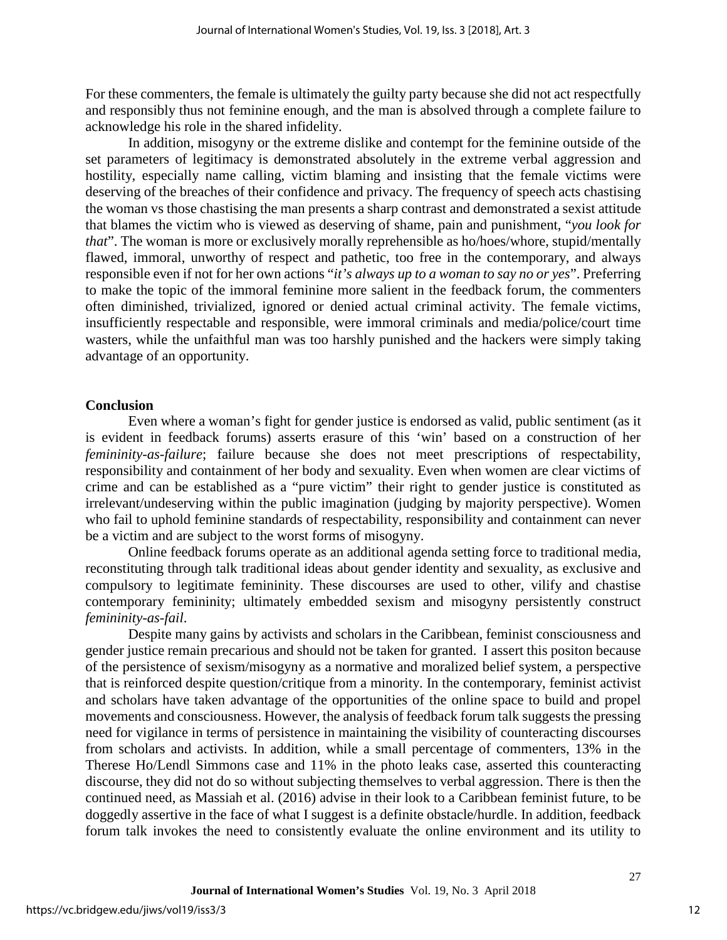For these commenters, the female is ultimately the guilty party because she did not act respectfully and responsibly thus not feminine enough, and the man is absolved through a complete failure to acknowledge his role in the shared infidelity.

In addition, misogyny or the extreme dislike and contempt for the feminine outside of the set parameters of legitimacy is demonstrated absolutely in the extreme verbal aggression and hostility, especially name calling, victim blaming and insisting that the female victims were deserving of the breaches of their confidence and privacy. The frequency of speech acts chastising the woman vs those chastising the man presents a sharp contrast and demonstrated a sexist attitude that blames the victim who is viewed as deserving of shame, pain and punishment, "*you look for that*". The woman is more or exclusively morally reprehensible as ho/hoes/whore, stupid/mentally flawed, immoral, unworthy of respect and pathetic, too free in the contemporary, and always responsible even if not for her own actions "*it's always up to a woman to say no or yes*". Preferring to make the topic of the immoral feminine more salient in the feedback forum, the commenters often diminished, trivialized, ignored or denied actual criminal activity. The female victims, insufficiently respectable and responsible, were immoral criminals and media/police/court time wasters, while the unfaithful man was too harshly punished and the hackers were simply taking advantage of an opportunity.

#### **Conclusion**

Even where a woman's fight for gender justice is endorsed as valid, public sentiment (as it is evident in feedback forums) asserts erasure of this 'win' based on a construction of her *femininity-as-failure*; failure because she does not meet prescriptions of respectability, responsibility and containment of her body and sexuality. Even when women are clear victims of crime and can be established as a "pure victim" their right to gender justice is constituted as irrelevant/undeserving within the public imagination (judging by majority perspective). Women who fail to uphold feminine standards of respectability, responsibility and containment can never be a victim and are subject to the worst forms of misogyny.

Online feedback forums operate as an additional agenda setting force to traditional media, reconstituting through talk traditional ideas about gender identity and sexuality, as exclusive and compulsory to legitimate femininity. These discourses are used to other, vilify and chastise contemporary femininity; ultimately embedded sexism and misogyny persistently construct *femininity-as-fail*.

Despite many gains by activists and scholars in the Caribbean, feminist consciousness and gender justice remain precarious and should not be taken for granted. I assert this positon because of the persistence of sexism/misogyny as a normative and moralized belief system, a perspective that is reinforced despite question/critique from a minority. In the contemporary, feminist activist and scholars have taken advantage of the opportunities of the online space to build and propel movements and consciousness. However, the analysis of feedback forum talk suggests the pressing need for vigilance in terms of persistence in maintaining the visibility of counteracting discourses from scholars and activists. In addition, while a small percentage of commenters, 13% in the Therese Ho/Lendl Simmons case and 11% in the photo leaks case, asserted this counteracting discourse, they did not do so without subjecting themselves to verbal aggression. There is then the continued need, as Massiah et al. (2016) advise in their look to a Caribbean feminist future, to be doggedly assertive in the face of what I suggest is a definite obstacle/hurdle. In addition, feedback forum talk invokes the need to consistently evaluate the online environment and its utility to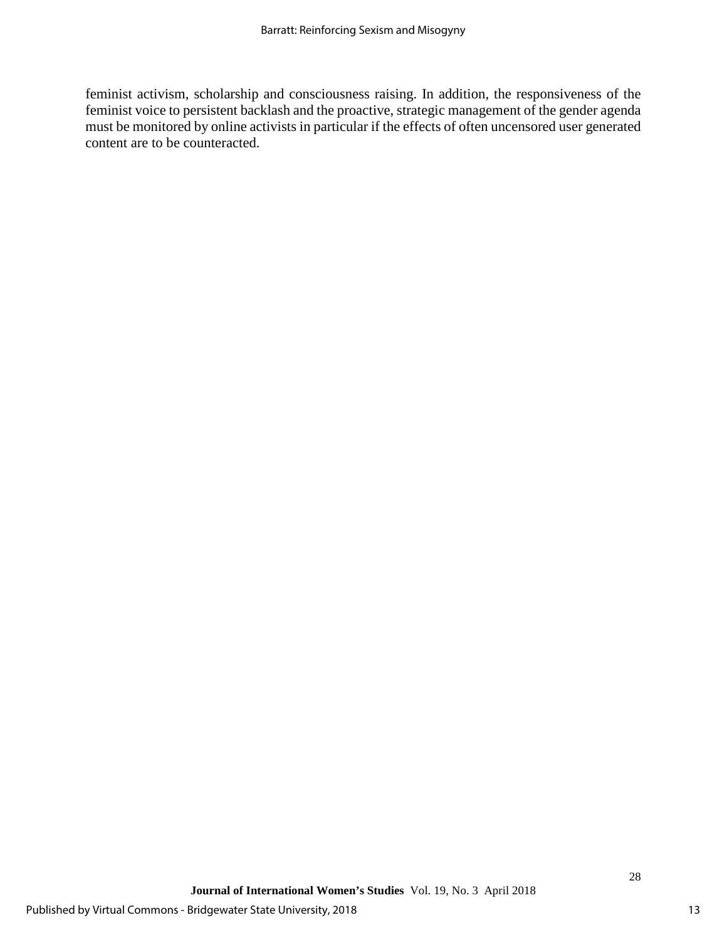feminist activism, scholarship and consciousness raising. In addition, the responsiveness of the feminist voice to persistent backlash and the proactive, strategic management of the gender agenda must be monitored by online activists in particular if the effects of often uncensored user generated content are to be counteracted.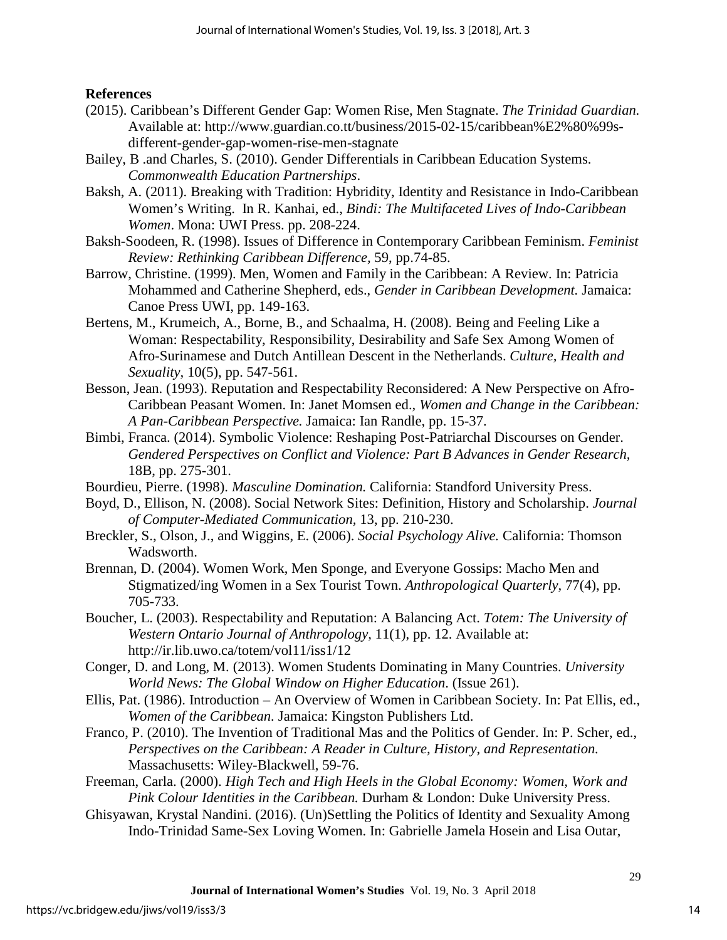#### **References**

- (2015). Caribbean's Different Gender Gap: Women Rise, Men Stagnate. *The Trinidad Guardian.*  Available at: http://www.guardian.co.tt/business/2015-02-15/caribbean%E2%80%99sdifferent-gender-gap-women-rise-men-stagnate
- Bailey, B .and Charles, S. (2010). Gender Differentials in Caribbean Education Systems. *Commonwealth Education Partnerships*.
- Baksh, A. (2011). Breaking with Tradition: Hybridity, Identity and Resistance in Indo-Caribbean Women's Writing. In R. Kanhai, ed., *Bindi: The Multifaceted Lives of Indo-Caribbean Women*. Mona: UWI Press. pp. 208-224.
- Baksh-Soodeen, R. (1998). Issues of Difference in Contemporary Caribbean Feminism. *Feminist Review: Rethinking Caribbean Difference,* 59, pp.74-85.
- Barrow, Christine. (1999). Men, Women and Family in the Caribbean: A Review. In: Patricia Mohammed and Catherine Shepherd, eds., *Gender in Caribbean Development.* Jamaica: Canoe Press UWI, pp. 149-163.
- Bertens, M., Krumeich, A., Borne, B., and Schaalma, H. (2008). Being and Feeling Like a Woman: Respectability, Responsibility, Desirability and Safe Sex Among Women of Afro-Surinamese and Dutch Antillean Descent in the Netherlands. *Culture, Health and Sexuality,* 10(5), pp. 547-561.
- Besson, Jean. (1993). Reputation and Respectability Reconsidered: A New Perspective on Afro-Caribbean Peasant Women. In: Janet Momsen ed., *Women and Change in the Caribbean: A Pan-Caribbean Perspective.* Jamaica: Ian Randle, pp. 15-37.
- Bimbi, Franca. (2014). Symbolic Violence: Reshaping Post-Patriarchal Discourses on Gender. *Gendered Perspectives on Conflict and Violence: Part B Advances in Gender Research,*  18B, pp. 275-301.
- Bourdieu, Pierre. (1998). *Masculine Domination.* California: Standford University Press.
- Boyd, D., Ellison, N. (2008). Social Network Sites: Definition, History and Scholarship. *Journal of Computer-Mediated Communication,* 13, pp. 210-230.
- Breckler, S., Olson, J., and Wiggins, E. (2006). *Social Psychology Alive.* California: Thomson Wadsworth.
- Brennan, D. (2004). Women Work, Men Sponge, and Everyone Gossips: Macho Men and Stigmatized/ing Women in a Sex Tourist Town. *Anthropological Quarterly,* 77(4), pp. 705-733.
- Boucher, L. (2003). Respectability and Reputation: A Balancing Act. *Totem: The University of Western Ontario Journal of Anthropology,* 11(1), pp. 12. Available at: http://ir.lib.uwo.ca/totem/vol11/iss1/12
- Conger, D. and Long, M. (2013). Women Students Dominating in Many Countries. *University World News: The Global Window on Higher Education*. (Issue 261).
- Ellis, Pat. (1986). Introduction An Overview of Women in Caribbean Society. In: Pat Ellis, ed., *Women of the Caribbean.* Jamaica: Kingston Publishers Ltd.
- Franco, P. (2010). The Invention of Traditional Mas and the Politics of Gender. In: P. Scher, ed., *Perspectives on the Caribbean: A Reader in Culture, History, and Representation.* Massachusetts: Wiley-Blackwell, 59-76.
- Freeman, Carla. (2000). *High Tech and High Heels in the Global Economy: Women, Work and Pink Colour Identities in the Caribbean.* Durham & London: Duke University Press.
- Ghisyawan, Krystal Nandini. (2016). (Un)Settling the Politics of Identity and Sexuality Among Indo-Trinidad Same-Sex Loving Women. In: Gabrielle Jamela Hosein and Lisa Outar,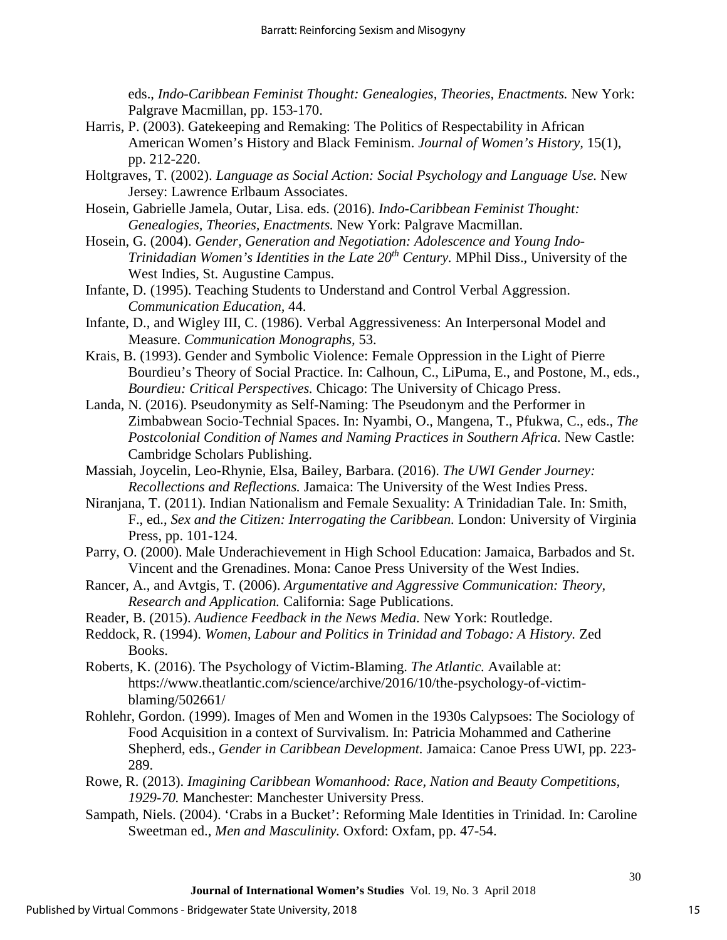eds., *Indo-Caribbean Feminist Thought: Genealogies, Theories, Enactments.* New York: Palgrave Macmillan, pp. 153-170.

- Harris, P. (2003). Gatekeeping and Remaking: The Politics of Respectability in African American Women's History and Black Feminism. *Journal of Women's History,* 15(1), pp. 212-220.
- Holtgraves, T. (2002). *Language as Social Action: Social Psychology and Language Use.* New Jersey: Lawrence Erlbaum Associates.
- Hosein, Gabrielle Jamela, Outar, Lisa. eds. (2016). *Indo-Caribbean Feminist Thought: Genealogies, Theories, Enactments.* New York: Palgrave Macmillan.
- Hosein, G. (2004). *Gender, Generation and Negotiation: Adolescence and Young Indo-Trinidadian Women's Identities in the Late 20th Century.* MPhil Diss., University of the West Indies, St. Augustine Campus.
- Infante, D. (1995). Teaching Students to Understand and Control Verbal Aggression. *Communication Education,* 44.
- Infante, D., and Wigley III, C. (1986). Verbal Aggressiveness: An Interpersonal Model and Measure. *Communication Monographs,* 53.
- Krais, B. (1993). Gender and Symbolic Violence: Female Oppression in the Light of Pierre Bourdieu's Theory of Social Practice. In: Calhoun, C., LiPuma, E., and Postone, M., eds., *Bourdieu: Critical Perspectives.* Chicago: The University of Chicago Press.
- Landa, N. (2016). Pseudonymity as Self-Naming: The Pseudonym and the Performer in Zimbabwean Socio-Technial Spaces. In: Nyambi, O., Mangena, T., Pfukwa, C., eds., *The Postcolonial Condition of Names and Naming Practices in Southern Africa.* New Castle: Cambridge Scholars Publishing.
- Massiah, Joycelin, Leo-Rhynie, Elsa, Bailey, Barbara. (2016). *The UWI Gender Journey: Recollections and Reflections.* Jamaica: The University of the West Indies Press.
- Niranjana, T. (2011). Indian Nationalism and Female Sexuality: A Trinidadian Tale. In: Smith, F., ed., *Sex and the Citizen: Interrogating the Caribbean.* London: University of Virginia Press, pp. 101-124.
- Parry, O. (2000). Male Underachievement in High School Education: Jamaica, Barbados and St. Vincent and the Grenadines. Mona: Canoe Press University of the West Indies.
- Rancer, A., and Avtgis, T. (2006). *Argumentative and Aggressive Communication: Theory, Research and Application.* California: Sage Publications.
- Reader, B. (2015). *Audience Feedback in the News Media.* New York: Routledge.
- Reddock, R. (1994). *Women, Labour and Politics in Trinidad and Tobago: A History.* Zed Books.
- Roberts, K. (2016). The Psychology of Victim-Blaming. *The Atlantic.* Available at: https://www.theatlantic.com/science/archive/2016/10/the-psychology-of-victimblaming/502661/
- Rohlehr, Gordon. (1999). Images of Men and Women in the 1930s Calypsoes: The Sociology of Food Acquisition in a context of Survivalism. In: Patricia Mohammed and Catherine Shepherd, eds., *Gender in Caribbean Development.* Jamaica: Canoe Press UWI, pp. 223- 289.
- Rowe, R. (2013). *Imagining Caribbean Womanhood: Race, Nation and Beauty Competitions, 1929-70.* Manchester: Manchester University Press.
- Sampath, Niels. (2004). 'Crabs in a Bucket': Reforming Male Identities in Trinidad. In: Caroline Sweetman ed., *Men and Masculinity.* Oxford: Oxfam, pp. 47-54.